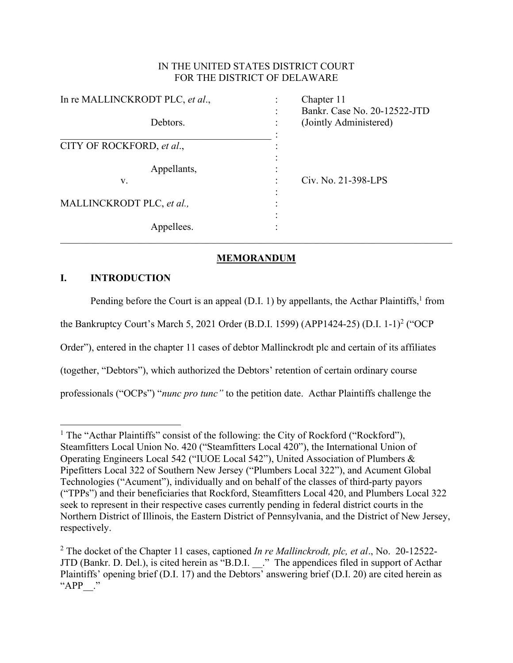# IN THE UNITED STATES DISTRICT COURT FOR THE DISTRICT OF DELAWARE

| In re MALLINCKRODT PLC, et al., | Chapter 11                   |  |
|---------------------------------|------------------------------|--|
| Debtors.                        | Bankr. Case No. 20-12522-JTD |  |
|                                 | (Jointly Administered)       |  |
| CITY OF ROCKFORD, et al.,       |                              |  |
| Appellants,<br>V.               | Civ. No. 21-398-LPS          |  |
|                                 |                              |  |
| MALLINCKRODT PLC, et al.,       |                              |  |
|                                 |                              |  |
| Appellees.                      |                              |  |

# **MEMORANDUM**

# **I. INTRODUCTION**

Pending before the Court is an appeal (D.I. 1) by appellants, the Acthar Plaintiffs,  $1$  from the Bankruptcy Court's March 5, 2021 Order (B.D.I. 1599) (APP1424-25) (D.I. 1-1)<sup>2</sup> ("OCP Order"), entered in the chapter 11 cases of debtor Mallinckrodt plc and certain of its affiliates (together, "Debtors"), which authorized the Debtors' retention of certain ordinary course professionals ("OCPs") "*nunc pro tunc"* to the petition date. Acthar Plaintiffs challenge the

<sup>&</sup>lt;sup>1</sup> The "Acthar Plaintiffs" consist of the following: the City of Rockford ("Rockford"), Steamfitters Local Union No. 420 ("Steamfitters Local 420"), the International Union of Operating Engineers Local 542 ("IUOE Local 542"), United Association of Plumbers & Pipefitters Local 322 of Southern New Jersey ("Plumbers Local 322"), and Acument Global Technologies ("Acument"), individually and on behalf of the classes of third-party payors ("TPPs") and their beneficiaries that Rockford, Steamfitters Local 420, and Plumbers Local 322 seek to represent in their respective cases currently pending in federal district courts in the Northern District of Illinois, the Eastern District of Pennsylvania, and the District of New Jersey, respectively.

<sup>2</sup> The docket of the Chapter 11 cases, captioned *In re Mallinckrodt, plc, et al*., No. 20-12522- JTD (Bankr. D. Del.), is cited herein as "B.D.I. \_\_." The appendices filed in support of Acthar Plaintiffs' opening brief (D.I. 17) and the Debtors' answering brief (D.I. 20) are cited herein as "APP ."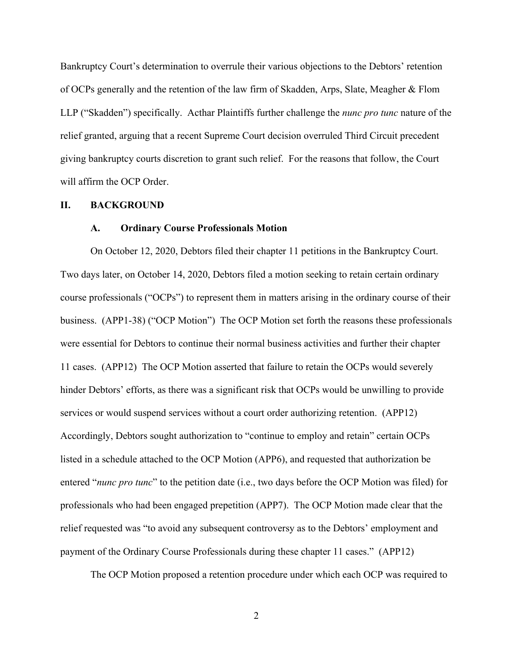Bankruptcy Court's determination to overrule their various objections to the Debtors' retention of OCPs generally and the retention of the law firm of Skadden, Arps, Slate, Meagher & Flom LLP ("Skadden") specifically. Acthar Plaintiffs further challenge the *nunc pro tunc* nature of the relief granted, arguing that a recent Supreme Court decision overruled Third Circuit precedent giving bankruptcy courts discretion to grant such relief. For the reasons that follow, the Court will affirm the OCP Order.

#### **II. BACKGROUND**

#### **A. Ordinary Course Professionals Motion**

On October 12, 2020, Debtors filed their chapter 11 petitions in the Bankruptcy Court. Two days later, on October 14, 2020, Debtors filed a motion seeking to retain certain ordinary course professionals ("OCPs") to represent them in matters arising in the ordinary course of their business. (APP1-38) ("OCP Motion") The OCP Motion set forth the reasons these professionals were essential for Debtors to continue their normal business activities and further their chapter 11 cases. (APP12) The OCP Motion asserted that failure to retain the OCPs would severely hinder Debtors' efforts, as there was a significant risk that OCPs would be unwilling to provide services or would suspend services without a court order authorizing retention. (APP12) Accordingly, Debtors sought authorization to "continue to employ and retain" certain OCPs listed in a schedule attached to the OCP Motion (APP6), and requested that authorization be entered "*nunc pro tunc*" to the petition date (i.e., two days before the OCP Motion was filed) for professionals who had been engaged prepetition (APP7). The OCP Motion made clear that the relief requested was "to avoid any subsequent controversy as to the Debtors' employment and payment of the Ordinary Course Professionals during these chapter 11 cases." (APP12)

The OCP Motion proposed a retention procedure under which each OCP was required to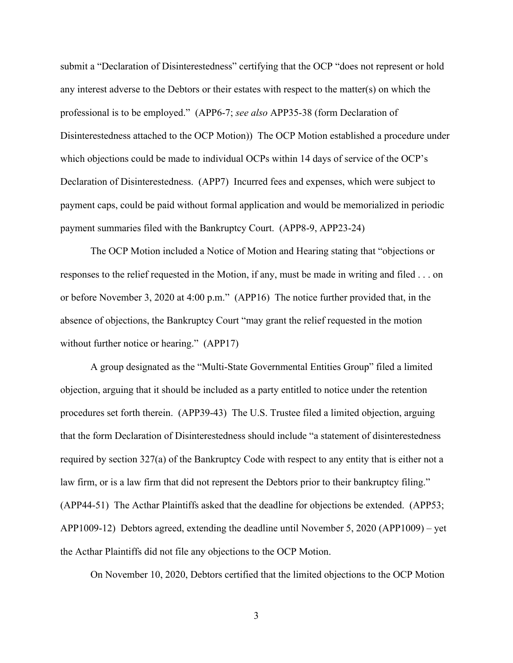submit a "Declaration of Disinterestedness" certifying that the OCP "does not represent or hold any interest adverse to the Debtors or their estates with respect to the matter(s) on which the professional is to be employed." (APP6-7; *see also* APP35-38 (form Declaration of Disinterestedness attached to the OCP Motion)) The OCP Motion established a procedure under which objections could be made to individual OCPs within 14 days of service of the OCP's Declaration of Disinterestedness. (APP7) Incurred fees and expenses, which were subject to payment caps, could be paid without formal application and would be memorialized in periodic payment summaries filed with the Bankruptcy Court. (APP8-9, APP23-24)

The OCP Motion included a Notice of Motion and Hearing stating that "objections or responses to the relief requested in the Motion, if any, must be made in writing and filed . . . on or before November 3, 2020 at 4:00 p.m." (APP16) The notice further provided that, in the absence of objections, the Bankruptcy Court "may grant the relief requested in the motion without further notice or hearing." (APP17)

A group designated as the "Multi-State Governmental Entities Group" filed a limited objection, arguing that it should be included as a party entitled to notice under the retention procedures set forth therein. (APP39-43) The U.S. Trustee filed a limited objection, arguing that the form Declaration of Disinterestedness should include "a statement of disinterestedness required by section 327(a) of the Bankruptcy Code with respect to any entity that is either not a law firm, or is a law firm that did not represent the Debtors prior to their bankruptcy filing." (APP44-51) The Acthar Plaintiffs asked that the deadline for objections be extended. (APP53; APP1009-12) Debtors agreed, extending the deadline until November 5, 2020 (APP1009) – yet the Acthar Plaintiffs did not file any objections to the OCP Motion.

On November 10, 2020, Debtors certified that the limited objections to the OCP Motion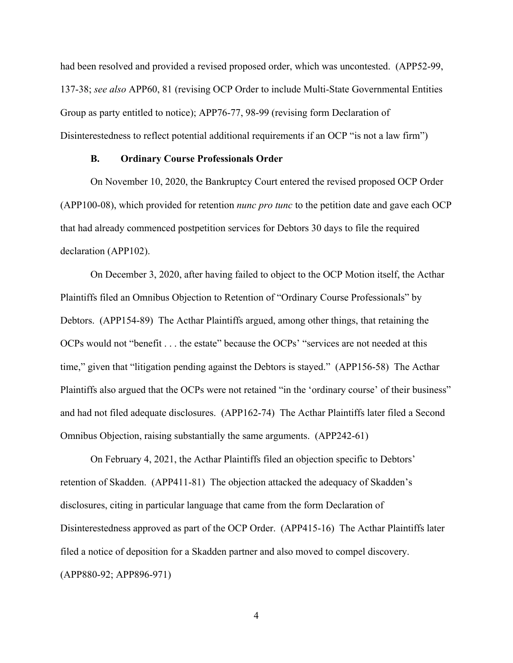had been resolved and provided a revised proposed order, which was uncontested. (APP52-99, 137-38; *see also* APP60, 81 (revising OCP Order to include Multi-State Governmental Entities Group as party entitled to notice); APP76-77, 98-99 (revising form Declaration of Disinterestedness to reflect potential additional requirements if an OCP "is not a law firm")

#### **B. Ordinary Course Professionals Order**

On November 10, 2020, the Bankruptcy Court entered the revised proposed OCP Order (APP100-08), which provided for retention *nunc pro tunc* to the petition date and gave each OCP that had already commenced postpetition services for Debtors 30 days to file the required declaration (APP102).

On December 3, 2020, after having failed to object to the OCP Motion itself, the Acthar Plaintiffs filed an Omnibus Objection to Retention of "Ordinary Course Professionals" by Debtors. (APP154-89) The Acthar Plaintiffs argued, among other things, that retaining the OCPs would not "benefit . . . the estate" because the OCPs' "services are not needed at this time," given that "litigation pending against the Debtors is stayed." (APP156-58) The Acthar Plaintiffs also argued that the OCPs were not retained "in the 'ordinary course' of their business" and had not filed adequate disclosures. (APP162-74) The Acthar Plaintiffs later filed a Second Omnibus Objection, raising substantially the same arguments. (APP242-61)

On February 4, 2021, the Acthar Plaintiffs filed an objection specific to Debtors' retention of Skadden. (APP411-81) The objection attacked the adequacy of Skadden's disclosures, citing in particular language that came from the form Declaration of Disinterestedness approved as part of the OCP Order. (APP415-16) The Acthar Plaintiffs later filed a notice of deposition for a Skadden partner and also moved to compel discovery. (APP880-92; APP896-971)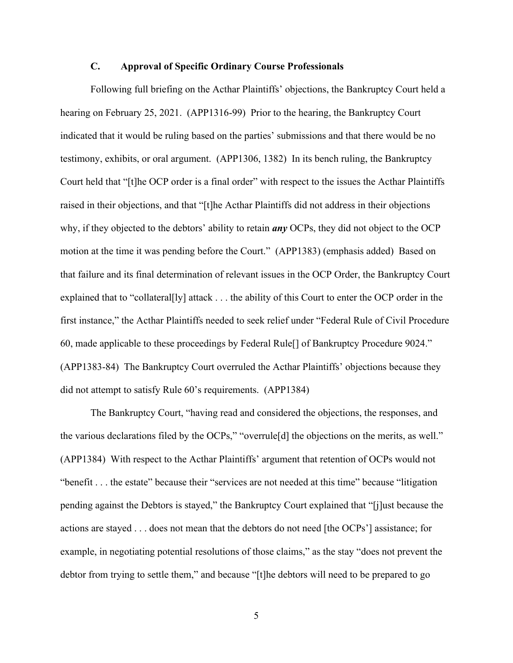### **C. Approval of Specific Ordinary Course Professionals**

Following full briefing on the Acthar Plaintiffs' objections, the Bankruptcy Court held a hearing on February 25, 2021. (APP1316-99) Prior to the hearing, the Bankruptcy Court indicated that it would be ruling based on the parties' submissions and that there would be no testimony, exhibits, or oral argument. (APP1306, 1382) In its bench ruling, the Bankruptcy Court held that "[t]he OCP order is a final order" with respect to the issues the Acthar Plaintiffs raised in their objections, and that "[t]he Acthar Plaintiffs did not address in their objections why, if they objected to the debtors' ability to retain *any* OCPs, they did not object to the OCP motion at the time it was pending before the Court." (APP1383) (emphasis added) Based on that failure and its final determination of relevant issues in the OCP Order, the Bankruptcy Court explained that to "collateral[ly] attack . . . the ability of this Court to enter the OCP order in the first instance," the Acthar Plaintiffs needed to seek relief under "Federal Rule of Civil Procedure 60, made applicable to these proceedings by Federal Rule[] of Bankruptcy Procedure 9024." (APP1383-84) The Bankruptcy Court overruled the Acthar Plaintiffs' objections because they did not attempt to satisfy Rule 60's requirements. (APP1384)

The Bankruptcy Court, "having read and considered the objections, the responses, and the various declarations filed by the OCPs," "overrule[d] the objections on the merits, as well." (APP1384) With respect to the Acthar Plaintiffs' argument that retention of OCPs would not "benefit . . . the estate" because their "services are not needed at this time" because "litigation pending against the Debtors is stayed," the Bankruptcy Court explained that "[j]ust because the actions are stayed . . . does not mean that the debtors do not need [the OCPs'] assistance; for example, in negotiating potential resolutions of those claims," as the stay "does not prevent the debtor from trying to settle them," and because "[t]he debtors will need to be prepared to go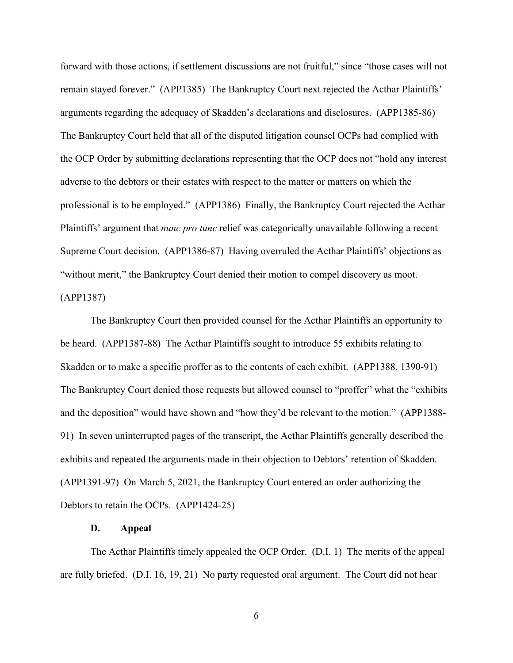forward with those actions, if settlement discussions are not fruitful," since "those cases will not remain stayed forever." (APP1385) The Bankruptcy Court next rejected the Acthar Plaintiffs' arguments regarding the adequacy of Skadden's declarations and disclosures. (APP1385-86) The Bankruptcy Court held that all of the disputed litigation counsel OCPs had complied with the OCP Order by submitting declarations representing that the OCP does not "hold any interest adverse to the debtors or their estates with respect to the matter or matters on which the professional is to be employed." (APP1386) Finally, the Bankruptcy Court rejected the Acthar Plaintiffs' argument that *nunc pro tunc* relief was categorically unavailable following a recent Supreme Court decision. (APP1386-87) Having overruled the Acthar Plaintiffs' objections as "without merit," the Bankruptcy Court denied their motion to compel discovery as moot. (APP1387)

The Bankruptcy Court then provided counsel for the Acthar Plaintiffs an opportunity to be heard. (APP1387-88) The Acthar Plaintiffs sought to introduce 55 exhibits relating to Skadden or to make a specific proffer as to the contents of each exhibit. (APP1388, 1390-91) The Bankruptcy Court denied those requests but allowed counsel to "proffer" what the "exhibits and the deposition" would have shown and "how they'd be relevant to the motion." (APP1388- 91) In seven uninterrupted pages of the transcript, the Acthar Plaintiffs generally described the exhibits and repeated the arguments made in their objection to Debtors' retention of Skadden. (APP1391-97) On March 5, 2021, the Bankruptcy Court entered an order authorizing the Debtors to retain the OCPs. (APP1424-25)

#### **D. Appeal**

The Acthar Plaintiffs timely appealed the OCP Order. (D.I. 1) The merits of the appeal are fully briefed. (D.I. 16, 19, 21) No party requested oral argument. The Court did not hear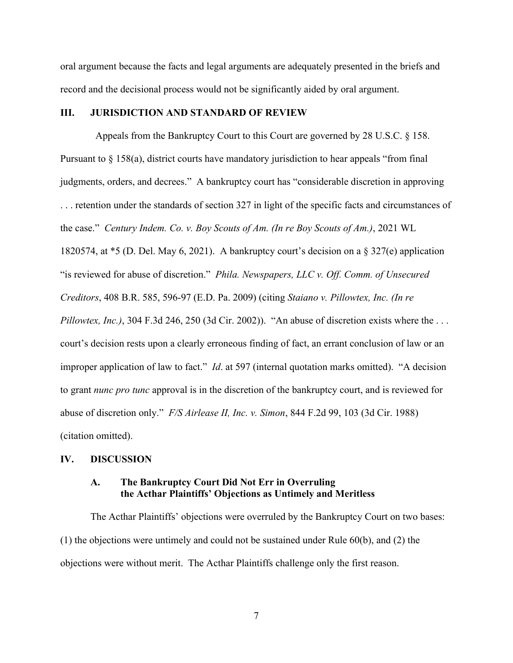oral argument because the facts and legal arguments are adequately presented in the briefs and record and the decisional process would not be significantly aided by oral argument.

### **III. JURISDICTION AND STANDARD OF REVIEW**

 Appeals from the Bankruptcy Court to this Court are governed by 28 U.S.C. § 158. Pursuant to § 158(a), district courts have mandatory jurisdiction to hear appeals "from final judgments, orders, and decrees." A bankruptcy court has "considerable discretion in approving . . . retention under the standards of section 327 in light of the specific facts and circumstances of the case." *Century Indem. Co. v. Boy Scouts of Am. (In re Boy Scouts of Am.)*, 2021 WL 1820574, at \*5 (D. Del. May 6, 2021). A bankruptcy court's decision on a § 327(e) application "is reviewed for abuse of discretion." *Phila. Newspapers, LLC v. Off. Comm. of Unsecured Creditors*, 408 B.R. 585, 596-97 (E.D. Pa. 2009) (citing *Staiano v. Pillowtex, Inc. (In re Pillowtex, Inc.)*, 304 F.3d 246, 250 (3d Cir. 2002)). "An abuse of discretion exists where the . . . court's decision rests upon a clearly erroneous finding of fact, an errant conclusion of law or an improper application of law to fact." *Id*. at 597 (internal quotation marks omitted). "A decision to grant *nunc pro tunc* approval is in the discretion of the bankruptcy court, and is reviewed for abuse of discretion only." *F/S Airlease II, Inc. v. Simon*, 844 F.2d 99, 103 (3d Cir. 1988) (citation omitted).

#### **IV. DISCUSSION**

### **A. The Bankruptcy Court Did Not Err in Overruling the Acthar Plaintiffs' Objections as Untimely and Meritless**

The Acthar Plaintiffs' objections were overruled by the Bankruptcy Court on two bases: (1) the objections were untimely and could not be sustained under Rule 60(b), and (2) the objections were without merit. The Acthar Plaintiffs challenge only the first reason.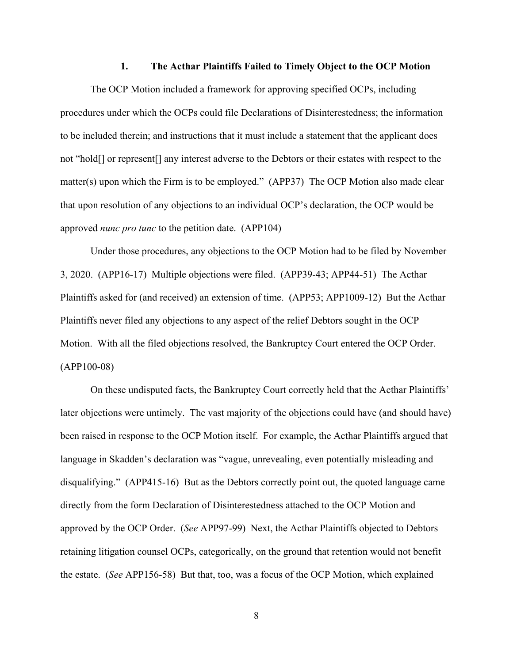#### **1. The Acthar Plaintiffs Failed to Timely Object to the OCP Motion**

The OCP Motion included a framework for approving specified OCPs, including procedures under which the OCPs could file Declarations of Disinterestedness; the information to be included therein; and instructions that it must include a statement that the applicant does not "hold[] or represent[] any interest adverse to the Debtors or their estates with respect to the matter(s) upon which the Firm is to be employed." (APP37) The OCP Motion also made clear that upon resolution of any objections to an individual OCP's declaration, the OCP would be approved *nunc pro tunc* to the petition date. (APP104)

Under those procedures, any objections to the OCP Motion had to be filed by November 3, 2020. (APP16-17) Multiple objections were filed. (APP39-43; APP44-51) The Acthar Plaintiffs asked for (and received) an extension of time. (APP53; APP1009-12) But the Acthar Plaintiffs never filed any objections to any aspect of the relief Debtors sought in the OCP Motion. With all the filed objections resolved, the Bankruptcy Court entered the OCP Order. (APP100-08)

On these undisputed facts, the Bankruptcy Court correctly held that the Acthar Plaintiffs' later objections were untimely. The vast majority of the objections could have (and should have) been raised in response to the OCP Motion itself. For example, the Acthar Plaintiffs argued that language in Skadden's declaration was "vague, unrevealing, even potentially misleading and disqualifying." (APP415-16) But as the Debtors correctly point out, the quoted language came directly from the form Declaration of Disinterestedness attached to the OCP Motion and approved by the OCP Order. (*See* APP97-99) Next, the Acthar Plaintiffs objected to Debtors retaining litigation counsel OCPs, categorically, on the ground that retention would not benefit the estate. (*See* APP156-58) But that, too, was a focus of the OCP Motion, which explained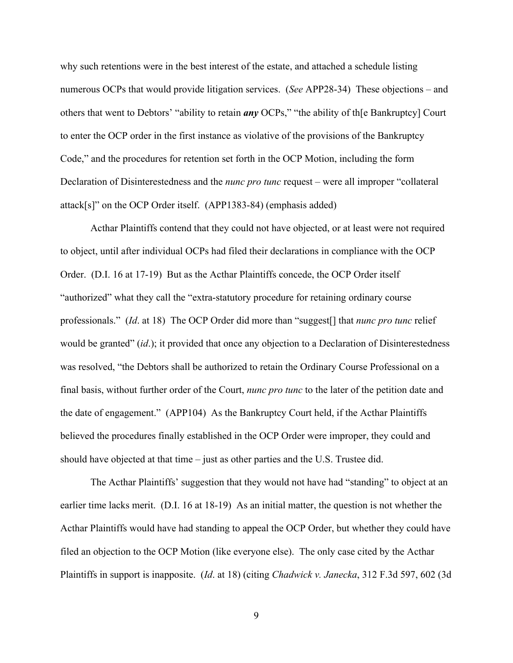why such retentions were in the best interest of the estate, and attached a schedule listing numerous OCPs that would provide litigation services. (*See* APP28-34) These objections – and others that went to Debtors' "ability to retain *any* OCPs," "the ability of th[e Bankruptcy] Court to enter the OCP order in the first instance as violative of the provisions of the Bankruptcy Code," and the procedures for retention set forth in the OCP Motion, including the form Declaration of Disinterestedness and the *nunc pro tunc* request – were all improper "collateral attack[s]" on the OCP Order itself. (APP1383-84) (emphasis added)

Acthar Plaintiffs contend that they could not have objected, or at least were not required to object, until after individual OCPs had filed their declarations in compliance with the OCP Order. (D.I. 16 at 17-19) But as the Acthar Plaintiffs concede, the OCP Order itself "authorized" what they call the "extra-statutory procedure for retaining ordinary course professionals." (*Id*. at 18) The OCP Order did more than "suggest[] that *nunc pro tunc* relief would be granted" (*id*.); it provided that once any objection to a Declaration of Disinterestedness was resolved, "the Debtors shall be authorized to retain the Ordinary Course Professional on a final basis, without further order of the Court, *nunc pro tunc* to the later of the petition date and the date of engagement." (APP104) As the Bankruptcy Court held, if the Acthar Plaintiffs believed the procedures finally established in the OCP Order were improper, they could and should have objected at that time – just as other parties and the U.S. Trustee did.

The Acthar Plaintiffs' suggestion that they would not have had "standing" to object at an earlier time lacks merit. (D.I. 16 at 18-19) As an initial matter, the question is not whether the Acthar Plaintiffs would have had standing to appeal the OCP Order, but whether they could have filed an objection to the OCP Motion (like everyone else). The only case cited by the Acthar Plaintiffs in support is inapposite. (*Id*. at 18) (citing *Chadwick v. Janecka*, 312 F.3d 597, 602 (3d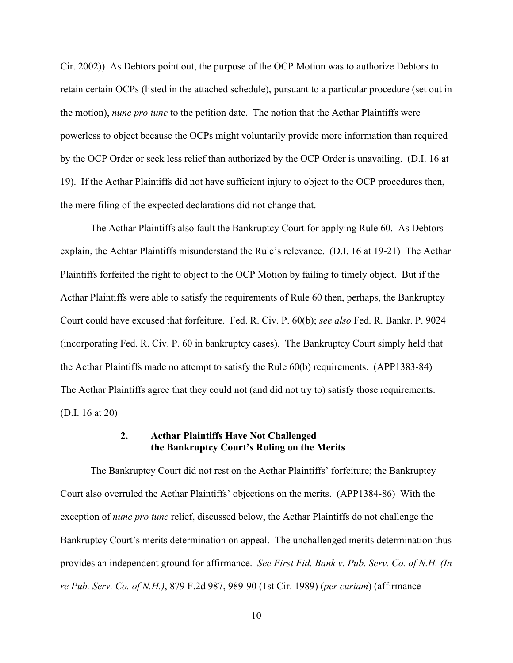Cir. 2002)) As Debtors point out, the purpose of the OCP Motion was to authorize Debtors to retain certain OCPs (listed in the attached schedule), pursuant to a particular procedure (set out in the motion), *nunc pro tunc* to the petition date. The notion that the Acthar Plaintiffs were powerless to object because the OCPs might voluntarily provide more information than required by the OCP Order or seek less relief than authorized by the OCP Order is unavailing. (D.I. 16 at 19). If the Acthar Plaintiffs did not have sufficient injury to object to the OCP procedures then, the mere filing of the expected declarations did not change that.

The Acthar Plaintiffs also fault the Bankruptcy Court for applying Rule 60. As Debtors explain, the Achtar Plaintiffs misunderstand the Rule's relevance. (D.I. 16 at 19-21) The Acthar Plaintiffs forfeited the right to object to the OCP Motion by failing to timely object. But if the Acthar Plaintiffs were able to satisfy the requirements of Rule 60 then, perhaps, the Bankruptcy Court could have excused that forfeiture. Fed. R. Civ. P. 60(b); *see also* Fed. R. Bankr. P. 9024 (incorporating Fed. R. Civ. P. 60 in bankruptcy cases). The Bankruptcy Court simply held that the Acthar Plaintiffs made no attempt to satisfy the Rule 60(b) requirements. (APP1383-84) The Acthar Plaintiffs agree that they could not (and did not try to) satisfy those requirements. (D.I. 16 at 20)

### **2. Acthar Plaintiffs Have Not Challenged the Bankruptcy Court's Ruling on the Merits**

The Bankruptcy Court did not rest on the Acthar Plaintiffs' forfeiture; the Bankruptcy Court also overruled the Acthar Plaintiffs' objections on the merits. (APP1384-86) With the exception of *nunc pro tunc* relief, discussed below, the Acthar Plaintiffs do not challenge the Bankruptcy Court's merits determination on appeal. The unchallenged merits determination thus provides an independent ground for affirmance. *See First Fid. Bank v. Pub. Serv. Co. of N.H. (In re Pub. Serv. Co. of N.H.)*, 879 F.2d 987, 989-90 (1st Cir. 1989) (*per curiam*) (affirmance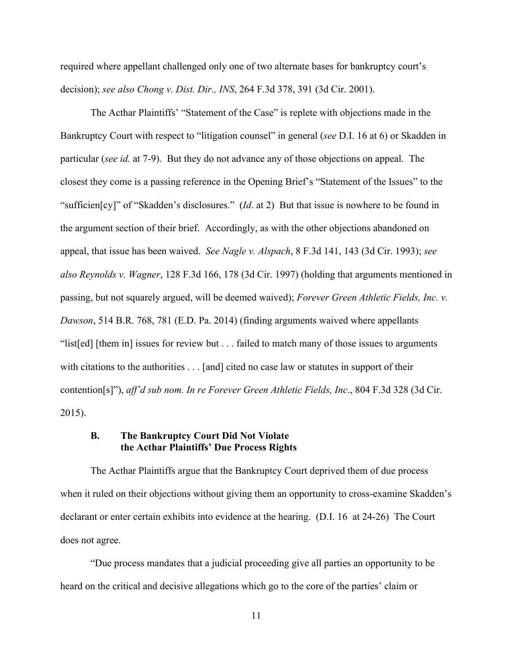required where appellant challenged only one of two alternate bases for bankruptcy court's decision); *see also Chong v. Dist. Dir., INS*, 264 F.3d 378, 391 (3d Cir. 2001).

The Acthar Plaintiffs' "Statement of the Case" is replete with objections made in the Bankruptcy Court with respect to "litigation counsel" in general (*see* D.I. 16 at 6) or Skadden in particular (*see id.* at 7-9). But they do not advance any of those objections on appeal. The closest they come is a passing reference in the Opening Brief's "Statement of the Issues" to the "sufficien[cy]" of "Skadden's disclosures." (*Id*. at 2) But that issue is nowhere to be found in the argument section of their brief. Accordingly, as with the other objections abandoned on appeal, that issue has been waived. *See Nagle v. Alspach*, 8 F.3d 141, 143 (3d Cir. 1993); *see also Reynolds v. Wagner*, 128 F.3d 166, 178 (3d Cir. 1997) (holding that arguments mentioned in passing, but not squarely argued, will be deemed waived); *Forever Green Athletic Fields, Inc. v. Dawson*, 514 B.R. 768, 781 (E.D. Pa. 2014) (finding arguments waived where appellants "list[ed] [them in] issues for review but . . . failed to match many of those issues to arguments with citations to the authorities . . . [and] cited no case law or statutes in support of their contention[s]"), *aff'd sub nom. In re Forever Green Athletic Fields, Inc*., 804 F.3d 328 (3d Cir. 2015).

### **B. The Bankruptcy Court Did Not Violate the Acthar Plaintiffs' Due Process Rights**

The Acthar Plaintiffs argue that the Bankruptcy Court deprived them of due process when it ruled on their objections without giving them an opportunity to cross-examine Skadden's declarant or enter certain exhibits into evidence at the hearing. (D.I. 16 at 24-26) The Court does not agree.

"Due process mandates that a judicial proceeding give all parties an opportunity to be heard on the critical and decisive allegations which go to the core of the parties' claim or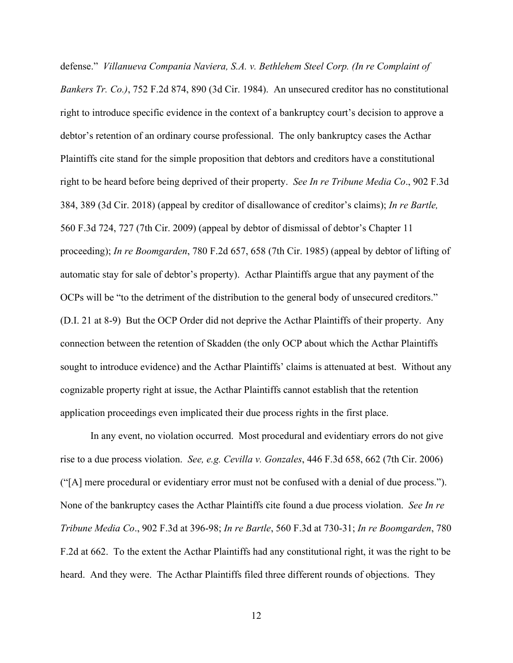defense." *Villanueva Compania Naviera, S.A. v. Bethlehem Steel Corp. (In re Complaint of Bankers Tr. Co.)*, 752 F.2d 874, 890 (3d Cir. 1984). An unsecured creditor has no constitutional right to introduce specific evidence in the context of a bankruptcy court's decision to approve a debtor's retention of an ordinary course professional. The only bankruptcy cases the Acthar Plaintiffs cite stand for the simple proposition that debtors and creditors have a constitutional right to be heard before being deprived of their property. *See In re Tribune Media Co*., 902 F.3d 384, 389 (3d Cir. 2018) (appeal by creditor of disallowance of creditor's claims); *In re Bartle,* 560 F.3d 724, 727 (7th Cir. 2009) (appeal by debtor of dismissal of debtor's Chapter 11 proceeding); *In re Boomgarden*, 780 F.2d 657, 658 (7th Cir. 1985) (appeal by debtor of lifting of automatic stay for sale of debtor's property). Acthar Plaintiffs argue that any payment of the OCPs will be "to the detriment of the distribution to the general body of unsecured creditors." (D.I. 21 at 8-9) But the OCP Order did not deprive the Acthar Plaintiffs of their property. Any connection between the retention of Skadden (the only OCP about which the Acthar Plaintiffs sought to introduce evidence) and the Acthar Plaintiffs' claims is attenuated at best. Without any cognizable property right at issue, the Acthar Plaintiffs cannot establish that the retention application proceedings even implicated their due process rights in the first place.

In any event, no violation occurred. Most procedural and evidentiary errors do not give rise to a due process violation. *See, e.g. Cevilla v. Gonzales*, 446 F.3d 658, 662 (7th Cir. 2006) ("[A] mere procedural or evidentiary error must not be confused with a denial of due process."). None of the bankruptcy cases the Acthar Plaintiffs cite found a due process violation. *See In re Tribune Media Co*., 902 F.3d at 396-98; *In re Bartle*, 560 F.3d at 730-31; *In re Boomgarden*, 780 F.2d at 662. To the extent the Acthar Plaintiffs had any constitutional right, it was the right to be heard. And they were. The Acthar Plaintiffs filed three different rounds of objections. They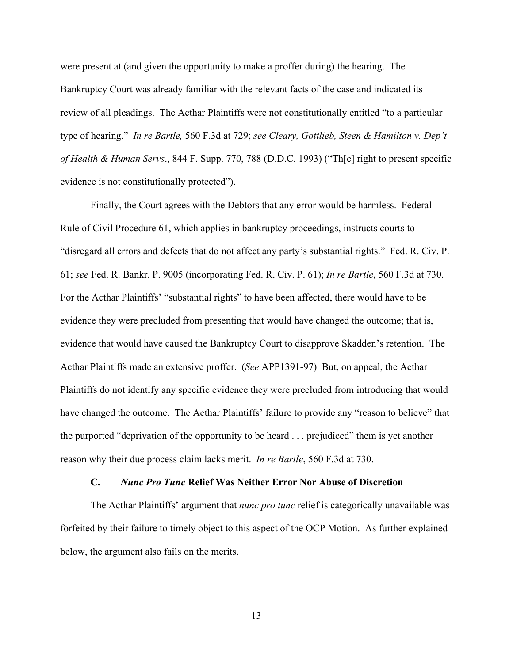were present at (and given the opportunity to make a proffer during) the hearing. The Bankruptcy Court was already familiar with the relevant facts of the case and indicated its review of all pleadings. The Acthar Plaintiffs were not constitutionally entitled "to a particular type of hearing." *In re Bartle,* 560 F.3d at 729; *see Cleary, Gottlieb, Steen & Hamilton v. Dep't of Health & Human Servs*., 844 F. Supp. 770, 788 (D.D.C. 1993) ("Th[e] right to present specific evidence is not constitutionally protected").

Finally, the Court agrees with the Debtors that any error would be harmless. Federal Rule of Civil Procedure 61, which applies in bankruptcy proceedings, instructs courts to "disregard all errors and defects that do not affect any party's substantial rights." Fed. R. Civ. P. 61; *see* Fed. R. Bankr. P. 9005 (incorporating Fed. R. Civ. P. 61); *In re Bartle*, 560 F.3d at 730. For the Acthar Plaintiffs' "substantial rights" to have been affected, there would have to be evidence they were precluded from presenting that would have changed the outcome; that is, evidence that would have caused the Bankruptcy Court to disapprove Skadden's retention. The Acthar Plaintiffs made an extensive proffer. (*See* APP1391-97) But, on appeal, the Acthar Plaintiffs do not identify any specific evidence they were precluded from introducing that would have changed the outcome. The Acthar Plaintiffs' failure to provide any "reason to believe" that the purported "deprivation of the opportunity to be heard . . . prejudiced" them is yet another reason why their due process claim lacks merit. *In re Bartle*, 560 F.3d at 730.

### **C.** *Nunc Pro Tunc* **Relief Was Neither Error Nor Abuse of Discretion**

The Acthar Plaintiffs' argument that *nunc pro tunc* relief is categorically unavailable was forfeited by their failure to timely object to this aspect of the OCP Motion. As further explained below, the argument also fails on the merits.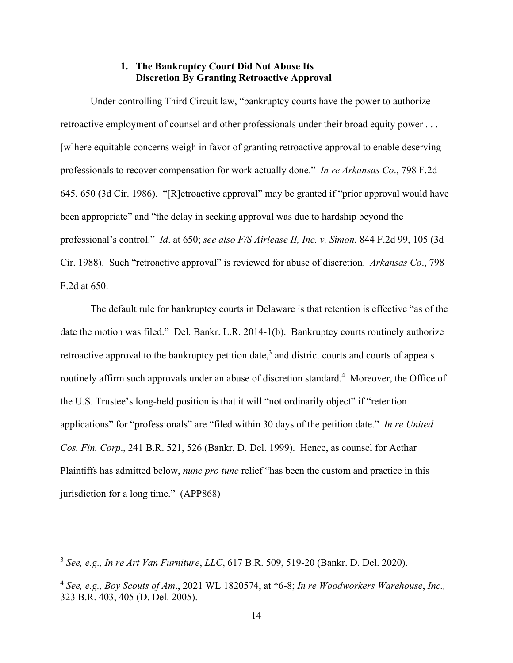# **1. The Bankruptcy Court Did Not Abuse Its Discretion By Granting Retroactive Approval**

Under controlling Third Circuit law, "bankruptcy courts have the power to authorize retroactive employment of counsel and other professionals under their broad equity power . . . [w]here equitable concerns weigh in favor of granting retroactive approval to enable deserving professionals to recover compensation for work actually done." *In re Arkansas Co*., 798 F.2d 645, 650 (3d Cir. 1986)."[R]etroactive approval" may be granted if "prior approval would have been appropriate" and "the delay in seeking approval was due to hardship beyond the professional's control." *Id*. at 650; *see also F/S Airlease II, Inc. v. Simon*, 844 F.2d 99, 105 (3d Cir. 1988). Such "retroactive approval" is reviewed for abuse of discretion. *Arkansas Co*., 798 F.2d at 650.

The default rule for bankruptcy courts in Delaware is that retention is effective "as of the date the motion was filed." Del. Bankr. L.R. 2014-1(b). Bankruptcy courts routinely authorize retroactive approval to the bankruptcy petition date,<sup>3</sup> and district courts and courts of appeals routinely affirm such approvals under an abuse of discretion standard.<sup>4</sup> Moreover, the Office of the U.S. Trustee's long-held position is that it will "not ordinarily object" if "retention applications" for "professionals" are "filed within 30 days of the petition date." *In re United Cos. Fin. Corp*., 241 B.R. 521, 526 (Bankr. D. Del. 1999). Hence, as counsel for Acthar Plaintiffs has admitted below, *nunc pro tunc* relief "has been the custom and practice in this jurisdiction for a long time." (APP868)

<sup>3</sup> *See, e.g., In re Art Van Furniture*, *LLC*, 617 B.R. 509, 519-20 (Bankr. D. Del. 2020).

<sup>4</sup> *See, e.g., Boy Scouts of Am*., 2021 WL 1820574, at \*6-8; *In re Woodworkers Warehouse*, *Inc.,* 323 B.R. 403, 405 (D. Del. 2005).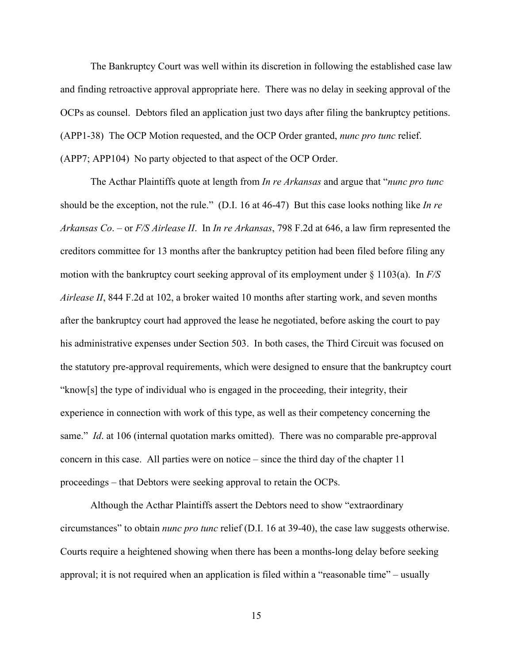The Bankruptcy Court was well within its discretion in following the established case law and finding retroactive approval appropriate here. There was no delay in seeking approval of the OCPs as counsel. Debtors filed an application just two days after filing the bankruptcy petitions. (APP1-38) The OCP Motion requested, and the OCP Order granted, *nunc pro tunc* relief. (APP7; APP104) No party objected to that aspect of the OCP Order.

The Acthar Plaintiffs quote at length from *In re Arkansas* and argue that "*nunc pro tunc* should be the exception, not the rule." (D.I. 16 at 46-47) But this case looks nothing like *In re Arkansas Co*. – or *F/S Airlease II*. In *In re Arkansas*, 798 F.2d at 646, a law firm represented the creditors committee for 13 months after the bankruptcy petition had been filed before filing any motion with the bankruptcy court seeking approval of its employment under § 1103(a). In *F/S Airlease II*, 844 F.2d at 102, a broker waited 10 months after starting work, and seven months after the bankruptcy court had approved the lease he negotiated, before asking the court to pay his administrative expenses under Section 503. In both cases, the Third Circuit was focused on the statutory pre-approval requirements, which were designed to ensure that the bankruptcy court "know[s] the type of individual who is engaged in the proceeding, their integrity, their experience in connection with work of this type, as well as their competency concerning the same." *Id*. at 106 (internal quotation marks omitted). There was no comparable pre-approval concern in this case. All parties were on notice – since the third day of the chapter 11 proceedings – that Debtors were seeking approval to retain the OCPs.

Although the Acthar Plaintiffs assert the Debtors need to show "extraordinary circumstances" to obtain *nunc pro tunc* relief (D.I. 16 at 39-40), the case law suggests otherwise. Courts require a heightened showing when there has been a months-long delay before seeking approval; it is not required when an application is filed within a "reasonable time" – usually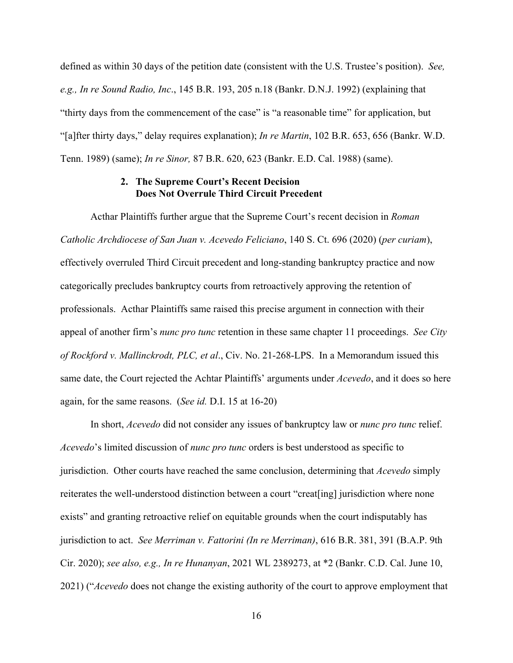defined as within 30 days of the petition date (consistent with the U.S. Trustee's position). *See, e.g., In re Sound Radio, Inc*., 145 B.R. 193, 205 n.18 (Bankr. D.N.J. 1992) (explaining that "thirty days from the commencement of the case" is "a reasonable time" for application, but "[a]fter thirty days," delay requires explanation); *In re Martin*, 102 B.R. 653, 656 (Bankr. W.D. Tenn. 1989) (same); *In re Sinor,* 87 B.R. 620, 623 (Bankr. E.D. Cal. 1988) (same).

### **2. The Supreme Court's Recent Decision Does Not Overrule Third Circuit Precedent**

Acthar Plaintiffs further argue that the Supreme Court's recent decision in *Roman Catholic Archdiocese of San Juan v. Acevedo Feliciano*, 140 S. Ct. 696 (2020) (*per curiam*), effectively overruled Third Circuit precedent and long-standing bankruptcy practice and now categorically precludes bankruptcy courts from retroactively approving the retention of professionals. Acthar Plaintiffs same raised this precise argument in connection with their appeal of another firm's *nunc pro tunc* retention in these same chapter 11 proceedings. *See City of Rockford v. Mallinckrodt, PLC, et al*., Civ. No. 21-268-LPS. In a Memorandum issued this same date, the Court rejected the Achtar Plaintiffs' arguments under *Acevedo*, and it does so here again, for the same reasons. (*See id.* D.I. 15 at 16-20)

In short, *Acevedo* did not consider any issues of bankruptcy law or *nunc pro tunc* relief. *Acevedo*'s limited discussion of *nunc pro tunc* orders is best understood as specific to jurisdiction. Other courts have reached the same conclusion, determining that *Acevedo* simply reiterates the well-understood distinction between a court "creat[ing] jurisdiction where none exists" and granting retroactive relief on equitable grounds when the court indisputably has jurisdiction to act. *See Merriman v. Fattorini (In re Merriman)*, 616 B.R. 381, 391 (B.A.P. 9th Cir. 2020); *see also, e.g., In re Hunanyan*, 2021 WL 2389273, at \*2 (Bankr. C.D. Cal. June 10, 2021) ("*Acevedo* does not change the existing authority of the court to approve employment that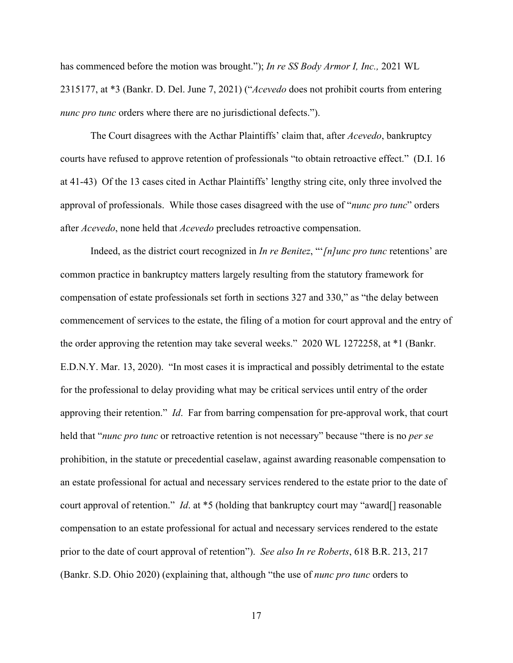has commenced before the motion was brought."); *In re SS Body Armor I, Inc.,* 2021 WL 2315177, at \*3 (Bankr. D. Del. June 7, 2021) ("*Acevedo* does not prohibit courts from entering *nunc pro tunc* orders where there are no jurisdictional defects.").

The Court disagrees with the Acthar Plaintiffs' claim that, after *Acevedo*, bankruptcy courts have refused to approve retention of professionals "to obtain retroactive effect." (D.I. 16 at 41-43) Of the 13 cases cited in Acthar Plaintiffs' lengthy string cite, only three involved the approval of professionals. While those cases disagreed with the use of "*nunc pro tunc*" orders after *Acevedo*, none held that *Acevedo* precludes retroactive compensation.

Indeed, as the district court recognized in *In re Benitez*, "'*[n]unc pro tunc* retentions' are common practice in bankruptcy matters largely resulting from the statutory framework for compensation of estate professionals set forth in sections 327 and 330," as "the delay between commencement of services to the estate, the filing of a motion for court approval and the entry of the order approving the retention may take several weeks." 2020 WL 1272258, at \*1 (Bankr. E.D.N.Y. Mar. 13, 2020). "In most cases it is impractical and possibly detrimental to the estate for the professional to delay providing what may be critical services until entry of the order approving their retention." *Id*. Far from barring compensation for pre-approval work, that court held that "*nunc pro tunc* or retroactive retention is not necessary" because "there is no *per se* prohibition, in the statute or precedential caselaw, against awarding reasonable compensation to an estate professional for actual and necessary services rendered to the estate prior to the date of court approval of retention." *Id*. at \*5 (holding that bankruptcy court may "award[] reasonable compensation to an estate professional for actual and necessary services rendered to the estate prior to the date of court approval of retention"). *See also In re Roberts*, 618 B.R. 213, 217 (Bankr. S.D. Ohio 2020) (explaining that, although "the use of *nunc pro tunc* orders to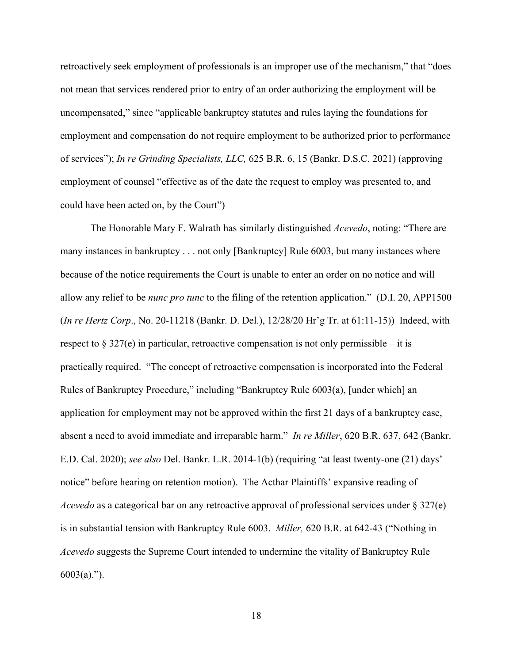retroactively seek employment of professionals is an improper use of the mechanism," that "does not mean that services rendered prior to entry of an order authorizing the employment will be uncompensated," since "applicable bankruptcy statutes and rules laying the foundations for employment and compensation do not require employment to be authorized prior to performance of services"); *In re Grinding Specialists, LLC,* 625 B.R. 6, 15 (Bankr. D.S.C. 2021) (approving employment of counsel "effective as of the date the request to employ was presented to, and could have been acted on, by the Court")

The Honorable Mary F. Walrath has similarly distinguished *Acevedo*, noting: "There are many instances in bankruptcy . . . not only [Bankruptcy] Rule 6003, but many instances where because of the notice requirements the Court is unable to enter an order on no notice and will allow any relief to be *nunc pro tunc* to the filing of the retention application." (D.I. 20, APP1500 (*In re Hertz Corp*., No. 20-11218 (Bankr. D. Del.), 12/28/20 Hr'g Tr. at 61:11-15)) Indeed, with respect to  $\S 327(e)$  in particular, retroactive compensation is not only permissible – it is practically required. "The concept of retroactive compensation is incorporated into the Federal Rules of Bankruptcy Procedure," including "Bankruptcy Rule 6003(a), [under which] an application for employment may not be approved within the first 21 days of a bankruptcy case, absent a need to avoid immediate and irreparable harm." *In re Miller*, 620 B.R. 637, 642 (Bankr. E.D. Cal. 2020); *see also* Del. Bankr. L.R. 2014-1(b) (requiring "at least twenty-one (21) days' notice" before hearing on retention motion). The Acthar Plaintiffs' expansive reading of *Acevedo* as a categorical bar on any retroactive approval of professional services under § 327(e) is in substantial tension with Bankruptcy Rule 6003. *Miller,* 620 B.R. at 642-43 ("Nothing in *Acevedo* suggests the Supreme Court intended to undermine the vitality of Bankruptcy Rule 6003(a).").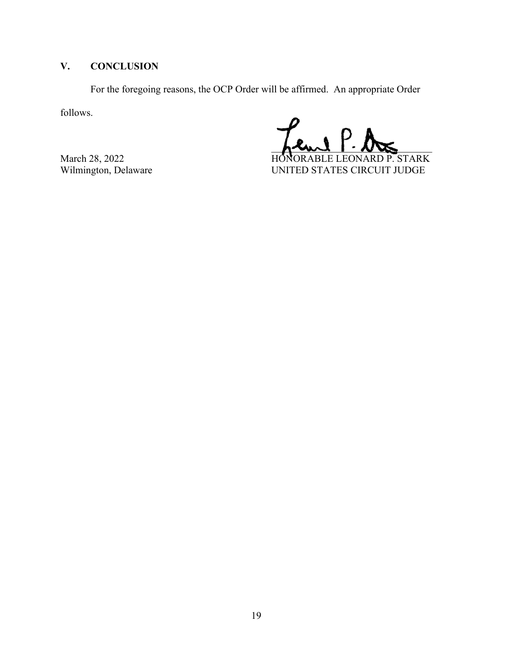# **V. CONCLUSION**

For the foregoing reasons, the OCP Order will be affirmed. An appropriate Order

follows.

 $h^{\text{val}} \cdot \text{V}$ March 28, 2022<br>Wilmington, Delaware Million Branch Contract Exercise UNITED STATES CIRCUIT JUDGE UNITED STATES CIRCUIT JUDGE